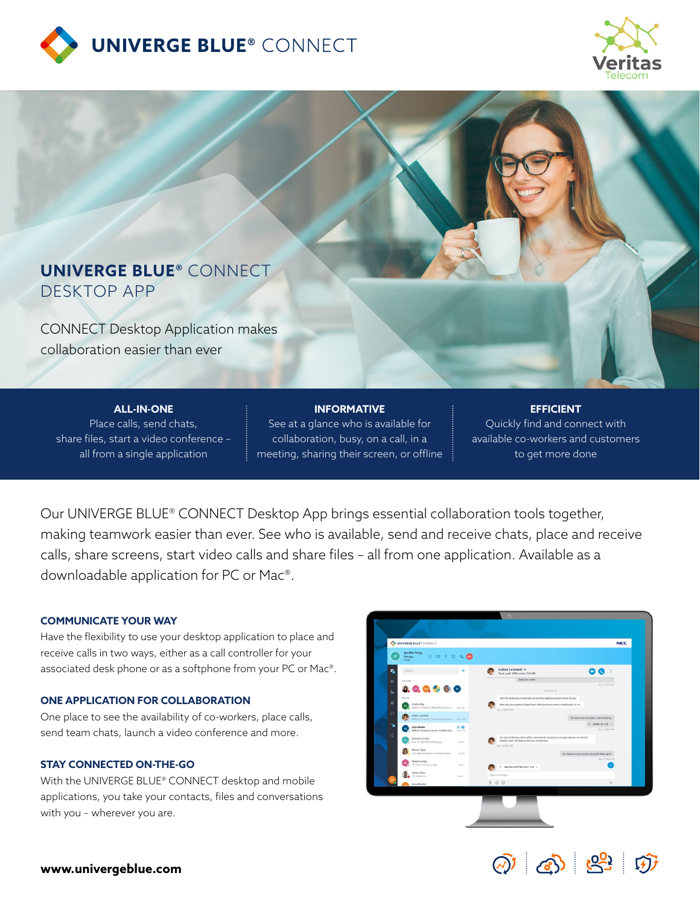



# **UNIVERGE BLUE®** CONNECT DESKTOP APP

CONNECT Desktop Application makes collaboration easier than ever

**ALL-IN-ONE** Place calls, send chats, share files, start a video conference – all from a single application

# **INFORMATIVE**

See at a glance who is available for collaboration, busy, on a call, in a meeting, sharing their screen, or offline

## **EFFICIENT** Quickly find and connect with available co-workers and customers to get more done

Our UNIVERGE BLUE® CONNECT Desktop App brings essential collaboration tools together, making teamwork easier than ever. See who is available, send and receive chats, place and receive calls, share screens, start video calls and share files – all from one application. Available as a downloadable application for PC or Mac®.

### **COMMUNICATE YOUR WAY**

Have the flexibility to use your desktop application to place and receive calls in two ways, either as a call controller for your associated desk phone or as a softphone from your PC or Mac®.

### **ONE APPLICATION FOR COLLABORATION**

One place to see the availability of co-workers, place calls, send team chats, launch a video conference and more.

#### **STAY CONNECTED ON-THE-GO**

With the UNIVERGE BLUE® CONNECT desktop and mobile applications, you take your contacts, files and conversations with you – wherever you are.